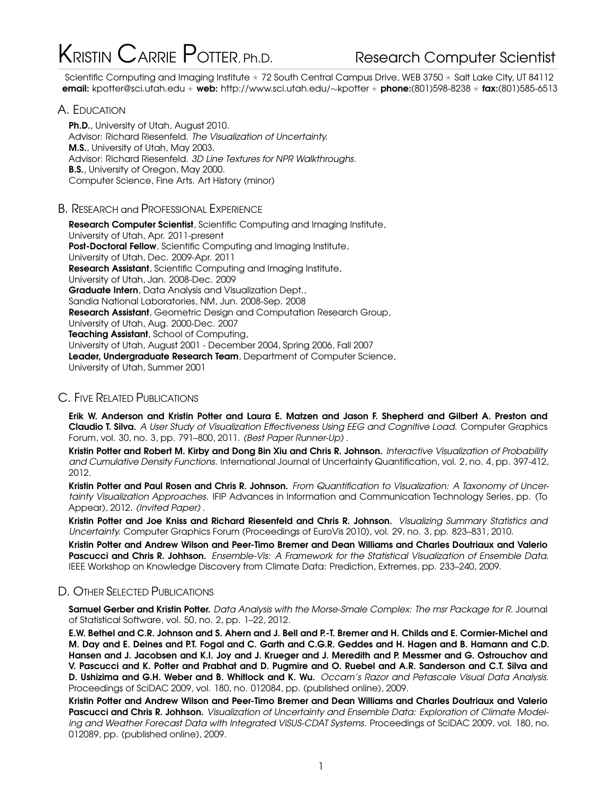# KRISTIN CARRIE POTTER, Ph.D. Research Computer Scientist

Scientific Computing and Imaging Institute  $\star$  72 South Central Campus Drive, WEB 3750  $\star$  Salt Lake City, UT 84112 email: kpotter@sci.utah.edu \* web: http://www.sci.utah.edu/~kpotter \* phone:(801)598-8238 \* fax:(801)585-6513

# A. EDUCATION

Ph.D., University of Utah, August 2010. Advisor: Richard Riesenfeld. The Visualization of Uncertainty. M.S., University of Utah, May 2003. Advisor: Richard Riesenfeld. 3D Line Textures for NPR Walkthroughs. **B.S., University of Oregon, May 2000.** Computer Science, Fine Arts. Art History (minor)

# B. RESEARCH and PROFESSIONAL EXPERIENCE

Research Computer Scientist, Scientific Computing and Imaging Institute, University of Utah, Apr. 2011-present Post-Doctoral Fellow, Scientific Computing and Imaging Institute, University of Utah, Dec. 2009-Apr. 2011 Research Assistant, Scientific Computing and Imaging Institute, University of Utah, Jan. 2008-Dec. 2009 Graduate Intern, Data Analysis and Visualization Dept., Sandia National Laboratories, NM, Jun. 2008-Sep. 2008 Research Assistant, Geometric Design and Computation Research Group, University of Utah, Aug. 2000-Dec. 2007 Teaching Assistant, School of Computing, University of Utah, August 2001 - December 2004, Spring 2006, Fall 2007 Leader, Undergraduate Research Team, Department of Computer Science, University of Utah, Summer 2001

# C. FIVE RELATED PUBLICATIONS

Erik W. Anderson and Kristin Potter and Laura E. Matzen and Jason F. Shepherd and Gilbert A. Preston and Claudio T. Silva. A User Study of Visualization Effectiveness Using EEG and Cognitive Load. Computer Graphics Forum, vol. 30, no. 3, pp. 791–800, 2011. (Best Paper Runner-Up) .

Kristin Potter and Robert M. Kirby and Dong Bin Xiu and Chris R. Johnson. Interactive Visualization of Probability and Cumulative Density Functions. International Journal of Uncertainty Quantification, vol. 2, no. 4, pp. 397-412, 2012.

Kristin Potter and Paul Rosen and Chris R. Johnson. From Quantification to Visualization: A Taxonomy of Uncertainty Visualization Approaches. IFIP Advances in Information and Communication Technology Series, pp. (To Appear), 2012. (Invited Paper) .

Kristin Potter and Joe Kniss and Richard Riesenfeld and Chris R. Johnson. Visualizing Summary Statistics and Uncertainty. Computer Graphics Forum (Proceedings of EuroVis 2010), vol. 29, no. 3, pp. 823–831, 2010.

Kristin Potter and Andrew Wilson and Peer-Timo Bremer and Dean Williams and Charles Doutriaux and Valerio Pascucci and Chris R. Johhson. Ensemble-Vis: A Framework for the Statistical Visualization of Ensemble Data. IEEE Workshop on Knowledge Discovery from Climate Data: Prediction, Extremes, pp. 233–240, 2009.

# D. OTHER SELECTED PUBLICATIONS

Samuel Gerber and Kristin Potter. Data Analysis with the Morse-Smale Complex: The msr Package for R. Journal of Statistical Software, vol. 50, no. 2, pp. 1–22, 2012.

E.W. Bethel and C.R. Johnson and S. Ahern and J. Bell and P.-T. Bremer and H. Childs and E. Cormier-Michel and M. Day and E. Deines and P.T. Fogal and C. Garth and C.G.R. Geddes and H. Hagen and B. Hamann and C.D. Hansen and J. Jacobsen and K.I. Joy and J. Krueger and J. Meredith and P. Messmer and G. Ostrouchov and V. Pascucci and K. Potter and Prabhat and D. Pugmire and O. Ruebel and A.R. Sanderson and C.T. Silva and D. Ushizima and G.H. Weber and B. Whitlock and K. Wu. Occam's Razor and Petascale Visual Data Analysis. Proceedings of SciDAC 2009, vol. 180, no. 012084, pp. (published online), 2009.

Kristin Potter and Andrew Wilson and Peer-Timo Bremer and Dean Williams and Charles Doutriaux and Valerio Pascucci and Chris R. Johhson. Visualization of Uncertainty and Ensemble Data: Exploration of Climate Modeling and Weather Forecast Data with Integrated ViSUS-CDAT Systems. Proceedings of SciDAC 2009, vol. 180, no. 012089, pp. (published online), 2009.